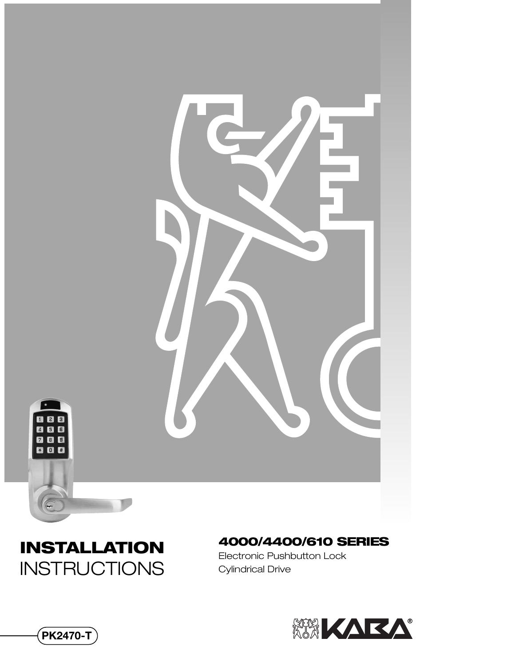

## **INSTALLATION INSTRUCTIONS**

#### **4000/4400/610 SERIES**

Electronic Pushbutton Lock Cylindrical Drive



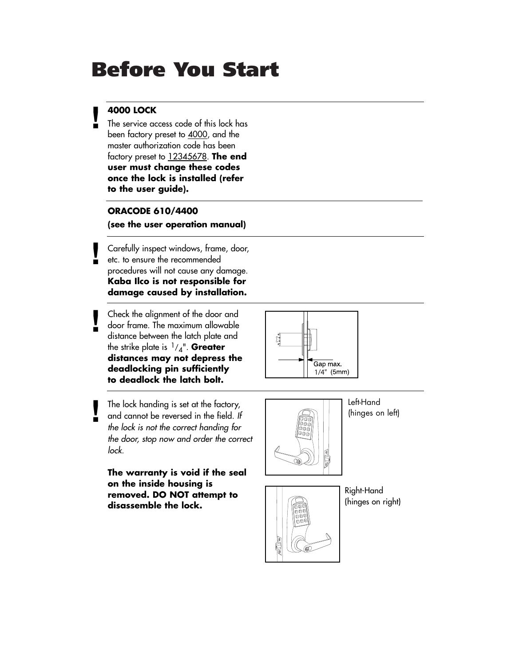## **Before You Start**

### **! 4000 LOCK**

**!**

**!**

The service access code of this lock has been factory preset to 4000, and the master authorization code has been factory preset to 12345678. **The end user must change these codes once the lock is installed (refer to the user guide).**

#### **ORACODE 610/4400**

**(see the user operation manual)**

Carefully inspect windows, frame, door, etc. to ensure the recommended procedures will not cause any damage. **Kaba Ilco is not responsible for damage caused by installation.**

Check the alignment of the door and door frame. The maximum allowable distance between the latch plate and the strike plate is 1/4". **Greater distances may not depress the deadlocking pin sufficiently to deadlock the latch bolt.**

The lock handing is set at the factory, and cannot be reversed in the field. *If the lock is not the correct handing for the door, stop now and order the correct lock.* **!**

**The warranty is void if the seal on the inside housing is removed. DO NOT attempt to disassemble the lock.**





(hinges on left)



Right-Hand (hinges on right)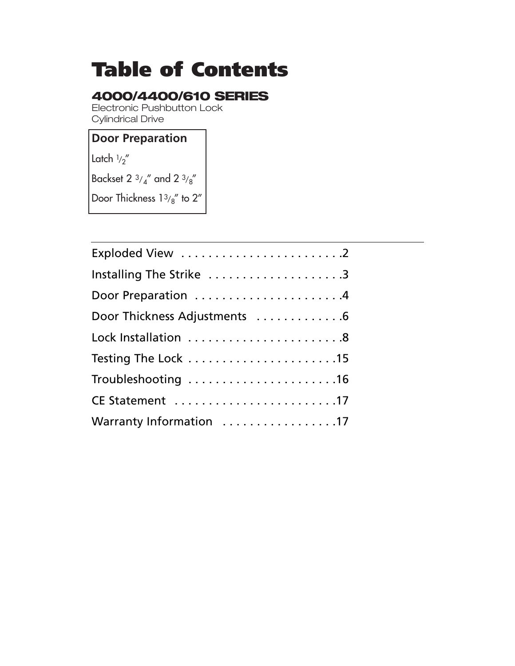# **Table of Contents**

### **4000/4400/610 SERIES**

Electronic Pushbutton Lock Cylindrical Drive

### **Door Preparation**

Latch  $1/2''$ 

Backset 2  $3/4$ " and 2  $3/8$ "

Door Thickness  $13/8$ " to 2"

| Installing The Strike 3      |
|------------------------------|
|                              |
| Door Thickness Adjustments 6 |
|                              |
|                              |
| Troubleshooting 16           |
| CE Statement 17              |
| Warranty Information 17      |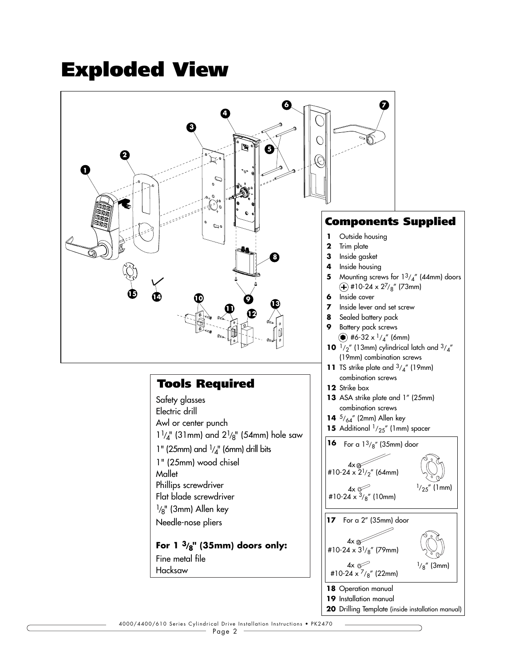## **Exploded View**

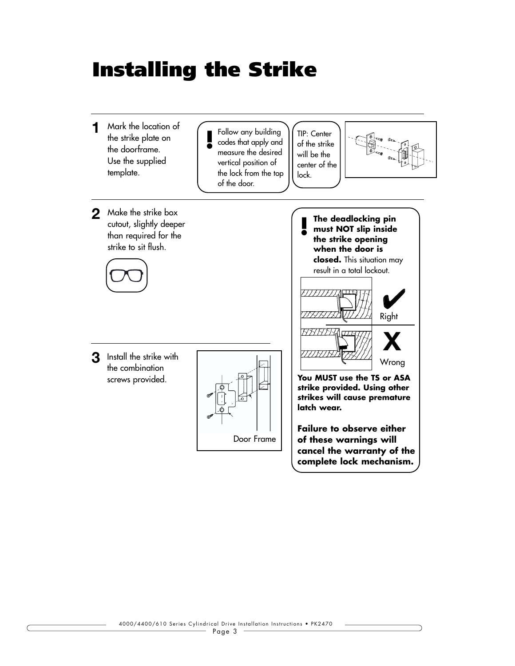## **Installing the Strike**

Mark the location of **1** the strike plate on the doorframe. Use the supplied template. **2 The deadlocking pin** Make the strike box **must NOT slip inside the strike opening when the door is closed.** This situation may result in a total lockout. **You MUST use the TS or ASA strike provided. Using other strikes will cause premature latch wear. Failure to observe either of these warnings will cancel the warranty of the complete lock mechanism. ! 3** Install the strike with the combination screws provided. cutout, slightly deeper than required for the strike to sit flush. TIP: Center of the strike will be the center of the lock. Follow any building codes that apply and measure the desired vertical position of the lock from the top of the door. **!** Door Frame Right Wrong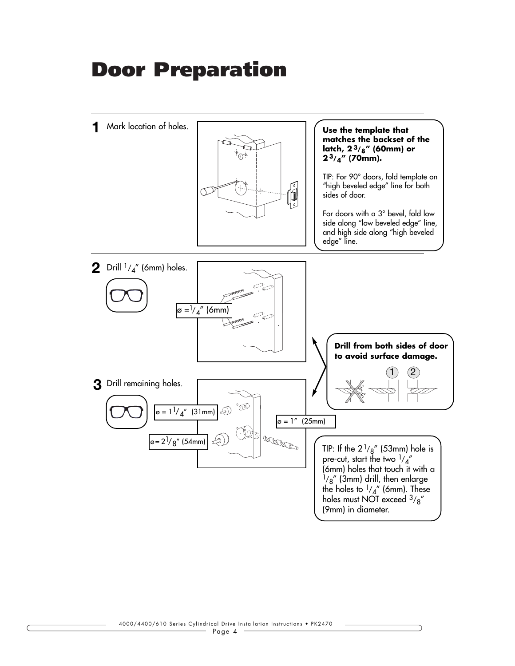## **Door Preparation**

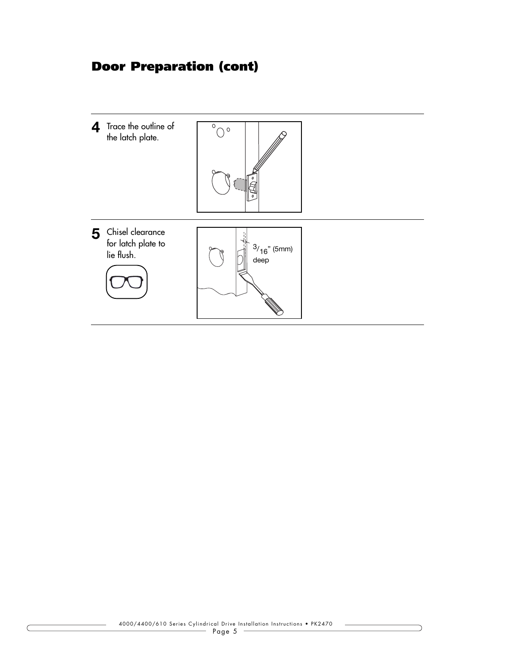### **Door Preparation (cont)**

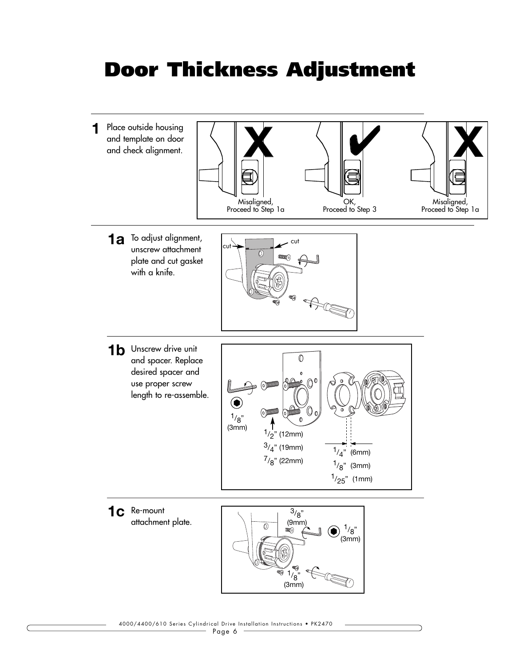## **Door Thickness Adjustment**

1 Place outside housing and template on door and check alignment.



To adjust alignment, **1a** unscrew attachment plate and cut gasket with a knife.



1**b** Unscrew drive unit and spacer. Replace desired spacer and use proper screw length to re-assemble.



1c Re-mount

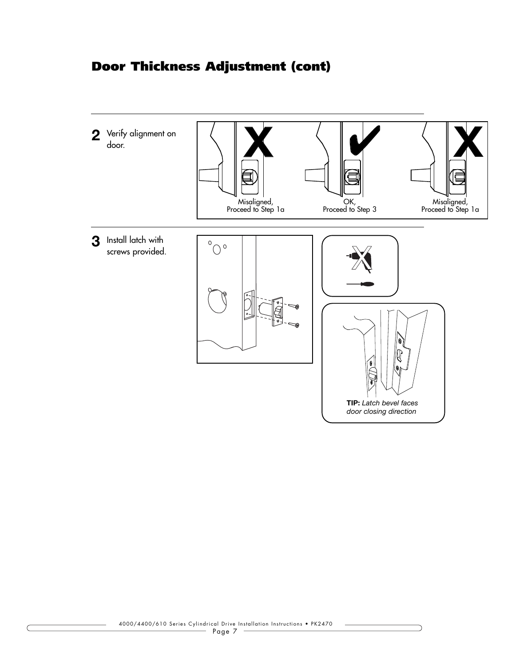### **Door Thickness Adjustment (cont)**

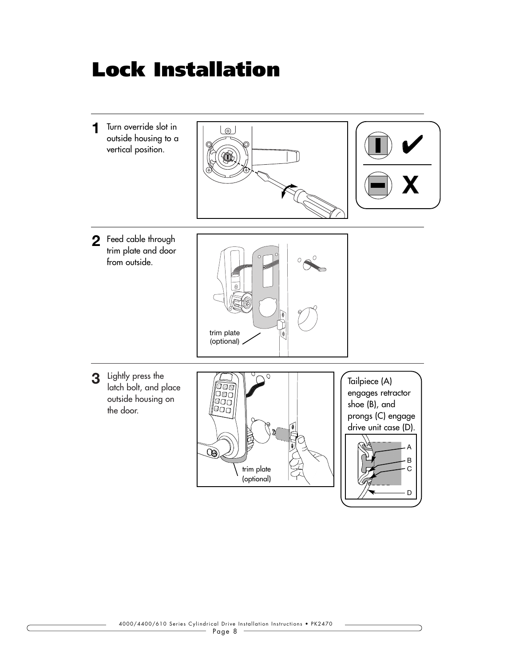## **Lock Installation**

1 Turn override slot in outside housing to a vertical position.





Feed cable through **2** trim plate and door from outside.



latch bolt, and place outside housing on the door.



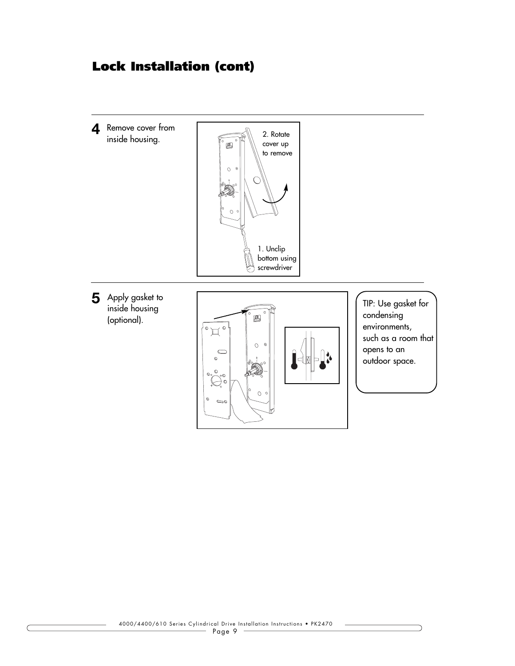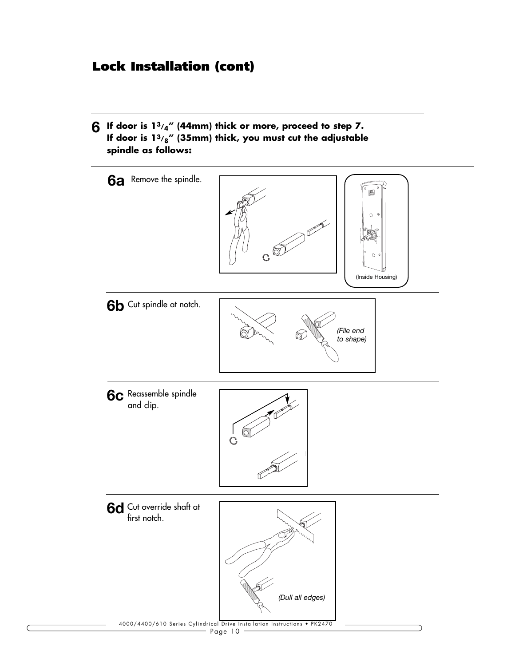**6** If door is  $13/4$ " (44mm) thick or more, proceed to step 7. **If door is 13/8" (35mm) thick, you must cut the adjustable spindle as follows:**

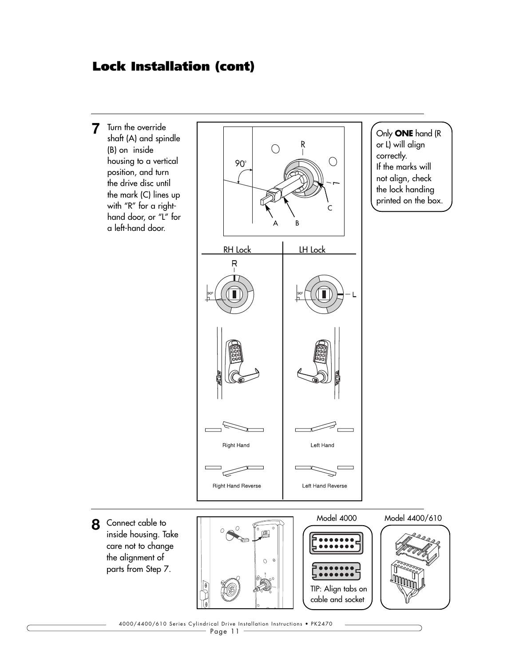Turn the override **7** shaft (A) and spindle (B) on inside housing to a vertical position, and turn the drive disc until the mark (C) lines up with "R" for a righthand door, or "L" for a left-hand door.



Connect cable to **8** inside housing. Take care not to change the alignment of parts from Step 7.



Only **ONE** hand (R or L) will align correctly. If the marks will not align, check the lock handing printed on the box.

4000/4400/610 Series Cylindrical Drive Installation Instructions • PK2470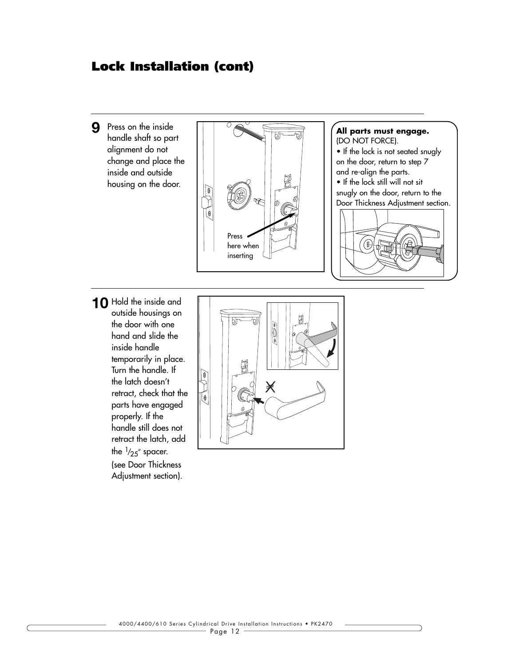Press on the inside **9** handle shaft so part alignment do not change and place the inside and outside housing on the door.





**10** Hold the inside and outside housings on the door with one hand and slide the inside handle temporarily in place. Turn the handle. If the latch doesn't retract, check that the parts have engaged properly. If the handle still does not retract the latch, add the  $\frac{1}{25}$  spacer. (see Door Thickness Adjustment section).

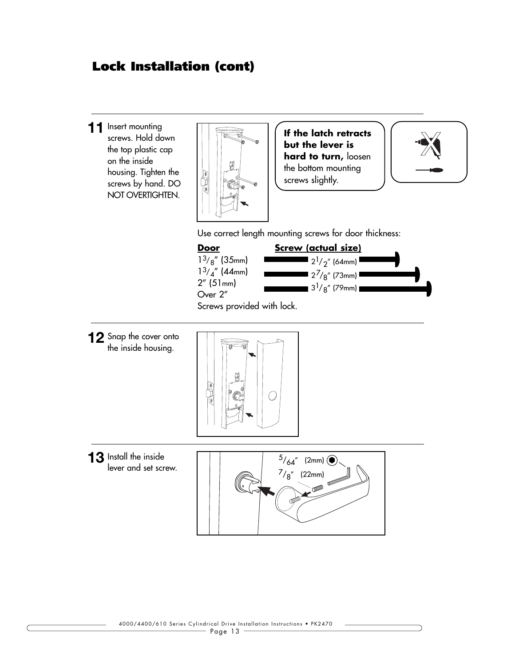11 Insert mounting screws. Hold down the top plastic cap on the inside housing. Tighten the screws by hand. DO NOT OVERTIGHTEN.



**If the latch retracts but the lever is hard to turn,** loosen the bottom mounting screws slightly.



Use correct length mounting screws for door thickness:



Screws provided with lock.

12 Snap the cover onto the inside housing.



lever and set screw.

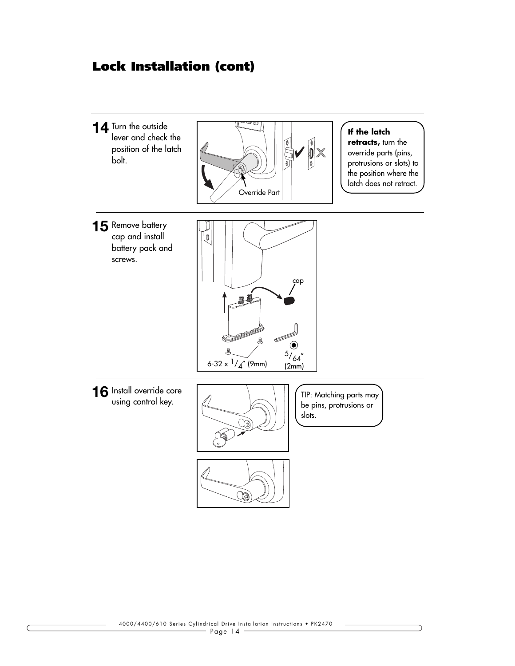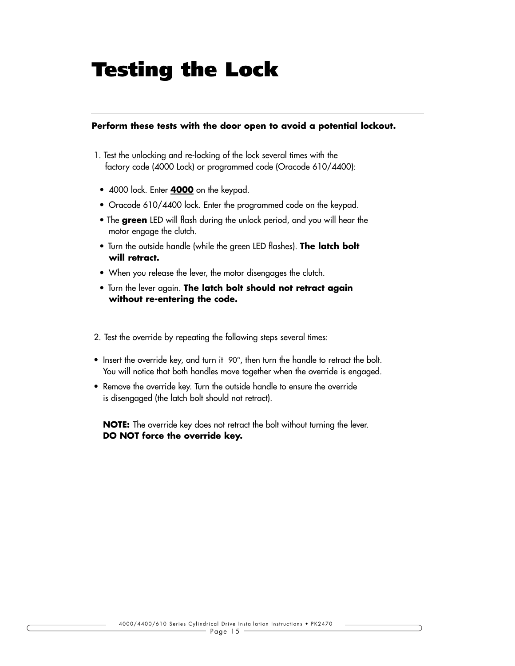## **Testing the Lock**

#### **Perform these tests with the door open to avoid a potential lockout.**

- 1. Test the unlocking and re-locking of the lock several times with the factory code (4000 Lock) or programmed code (Oracode 610/4400):
	- 4000 lock. Enter **4000** on the keypad.
	- Oracode 610/4400 lock. Enter the programmed code on the keypad.
	- The **green** LED will flash during the unlock period, and you will hear the motor engage the clutch.
	- Turn the outside handle (while the green LED flashes). **The latch bolt will retract.**
	- When you release the lever, the motor disengages the clutch.
	- Turn the lever again. **The latch bolt should not retract again without re-entering the code.**
- 2. Test the override by repeating the following steps several times:
- Insert the override key, and turn it 90°, then turn the handle to retract the bolt. You will notice that both handles move together when the override is engaged.
- Remove the override key. Turn the outside handle to ensure the override is disengaged (the latch bolt should not retract).

**NOTE:** The override key does not retract the bolt without turning the lever. **DO NOT force the override key.**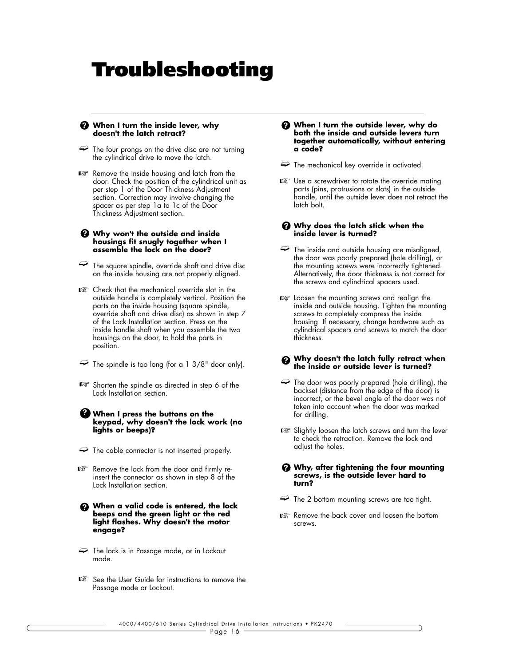## **Troubleshooting**

#### **When I turn the inside lever, why ? doesn't the latch retract?**

- $\Rightarrow$  The four prongs on the drive disc are not turning the cylindrical drive to move the latch.
- Remove the inside housing and latch from the ☞ door. Check the position of the cylindrical unit as per step 1 of the Door Thickness Adjustment section. Correction may involve changing the spacer as per step 1a to 1c of the Door Thickness Adjustment section.

#### **Why won't the outside and inside ? housings fit snugly together when I assemble the lock on the door?**

- $\Rightarrow$  The square spindle, override shaft and drive disc on the inside housing are not properly aligned.
- Check that the mechanical override slot in the ☞ outside handle is completely vertical. Position the parts on the inside housing (square spindle, override shaft and drive disc) as shown in step 7 of the Lock Installation section. Press on the inside handle shaft when you assemble the two housings on the door, to hold the parts in position.
- $\Rightarrow$  The spindle is too long (for a 1 3/8" door only).
- Shorten the spindle as directed in step 6 of the ☞ Lock Installation section.

#### **When I press the buttons on the ? keypad, why doesn't the lock work (no lights or beeps)?**

- $\Rightarrow$  The cable connector is not inserted properly.
- Remove the lock from the door and firmly re-☞ insert the connector as shown in step 8 of the Lock Installation section.
- **When a valid code is entered, the lock ? beeps and the green light or the red light flashes. Why doesn't the motor engage?**
- $\Rightarrow$  The lock is in Passage mode, or in Lockout mode.
- See the User Guide for instructions to remove the ☞ Passage mode or Lockout.
- **When I turn the outside lever, why do ? both the inside and outside levers turn together automatically, without entering a code?**
- $\Rightarrow$  The mechanical key override is activated.
- Use a screwdriver to rotate the override mating ☞ parts (pins, protrusions or slots) in the outside handle, until the outside lever does not retract the latch bolt.

#### **Why does the latch stick when the ? inside lever is turned?**

- $\Rightarrow$  The inside and outside housing are misaligned, the door was poorly prepared (hole drilling), or the mounting screws were incorrectly tightened. Alternatively, the door thickness is not correct for the screws and cylindrical spacers used.
- **■** Loosen the mounting screws and realign the inside and outside housing. Tighten the mounting screws to completely compress the inside housing. If necessary, change hardware such as cylindrical spacers and screws to match the door thickness.

#### **Why doesn't the latch fully retract when ? the inside or outside lever is turned?**

- $\Rightarrow$  The door was poorly prepared (hole drilling), the backset (distance from the edge of the door) is incorrect, or the bevel angle of the door was not taken into account when the door was marked for drilling.
- Slightly loosen the latch screws and turn the lever ☞to check the retraction. Remove the lock and adjust the holes.

#### **Why, after tightening the four mounting ? screws, is the outside lever hard to turn?**

- $\Rightarrow$  The 2 bottom mounting screws are too tight.
- **■** Remove the back cover and loosen the bottom screws.

4000/4400/610 Series Cylindrical Drive Installation Instructions • PK2470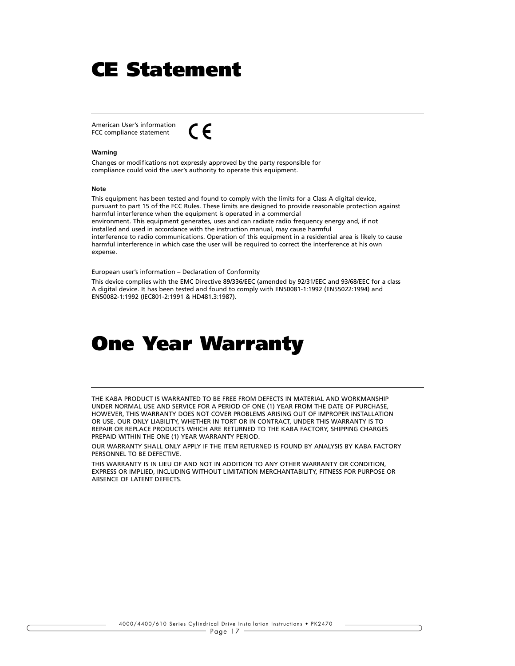## **CE Statement**

American User's information  $\epsilon$ FCC compliance statement

#### **Warning**

Changes or modifications not expressly approved by the party responsible for compliance could void the user's authority to operate this equipment.

#### **Note**

This equipment has been tested and found to comply with the limits for a Class A digital device, pursuant to part 15 of the FCC Rules. These limits are designed to provide reasonable protection against harmful interference when the equipment is operated in a commercial environment. This equipment generates, uses and can radiate radio frequency energy and, if not installed and used in accordance with the instruction manual, may cause harmful interference to radio communications. Operation of this equipment in a residential area is likely to cause harmful interference in which case the user will be required to correct the interference at his own expense.

European user's information – Declaration of Conformity

This device complies with the EMC Directive 89/336/EEC (amended by 92/31/EEC and 93/68/EEC for a class A digital device. It has been tested and found to comply with EN50081-1:1992 (EN55022:1994) and EN50082-1:1992 (IEC801-2:1991 & HD481.3:1987).

### **One Year Warranty**

THE KABA PRODUCT IS WARRANTED TO BE FREE FROM DEFECTS IN MATERIAL AND WORKMANSHIP UNDER NORMAL USE AND SERVICE FOR A PERIOD OF ONE (1) YEAR FROM THE DATE OF PURCHASE, HOWEVER, THIS WARRANTY DOES NOT COVER PROBLEMS ARISING OUT OF IMPROPER INSTALLATION OR USE. OUR ONLY LIABILITY, WHETHER IN TORT OR IN CONTRACT, UNDER THIS WARRANTY IS TO REPAIR OR REPLACE PRODUCTS WHICH ARE RETURNED TO THE KABA FACTORY, SHIPPING CHARGES PREPAID WITHIN THE ONE (1) YEAR WARRANTY PERIOD.

OUR WARRANTY SHALL ONLY APPLY IF THE ITEM RETURNED IS FOUND BY ANALYSIS BY KABA FACTORY PERSONNEL TO BE DEFECTIVE.

THIS WARRANTY IS IN LIEU OF AND NOT IN ADDITION TO ANY OTHER WARRANTY OR CONDITION, EXPRESS OR IMPLIED, INCLUDING WITHOUT LIMITATION MERCHANTABILITY, FITNESS FOR PURPOSE OR ABSENCE OF LATENT DEFECTS.